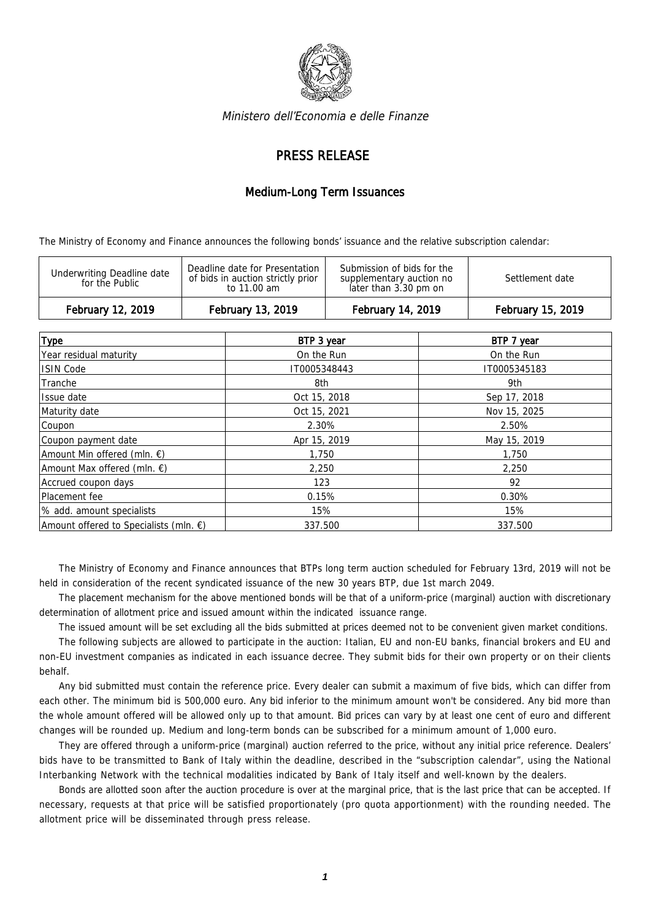

Ministero dell'Economia e delle Finanze

## PRESS RELEASE

## Medium-Long Term Issuances

The Ministry of Economy and Finance announces the following bonds' issuance and the relative subscription calendar:

| Deadline date for Presentation<br>Submission of bids for the<br>Underwriting Deadline date<br>of bids in auction strictly prior<br>Settlement date<br>supplementary auction no<br>for the Public<br>later than 3.30 pm on<br>to 11.00 am | February 12, 2019 | February 13, 2019 | February 14, 2019 | February 15, 2019 |
|------------------------------------------------------------------------------------------------------------------------------------------------------------------------------------------------------------------------------------------|-------------------|-------------------|-------------------|-------------------|
|                                                                                                                                                                                                                                          |                   |                   |                   |                   |

| <b>Type</b>                                      | BTP 3 year   | BTP 7 year   |
|--------------------------------------------------|--------------|--------------|
| Year residual maturity                           | On the Run   | On the Run   |
| <b>ISIN Code</b>                                 | IT0005348443 | IT0005345183 |
| Tranche                                          | 8th          | 9th          |
| Issue date                                       | Oct 15, 2018 | Sep 17, 2018 |
| Maturity date                                    | Oct 15, 2021 | Nov 15, 2025 |
| Coupon                                           | 2.30%        | 2.50%        |
| Coupon payment date                              | Apr 15, 2019 | May 15, 2019 |
| Amount Min offered (mln. €)                      | 1,750        | 1,750        |
| Amount Max offered (mln. €)                      | 2,250        | 2,250        |
| Accrued coupon days                              | 123          | 92           |
| Placement fee                                    | 0.15%        | 0.30%        |
| % add. amount specialists                        | 15%          | 15%          |
| Amount offered to Specialists (mln. $\epsilon$ ) | 337.500      | 337.500      |

The Ministry of Economy and Finance announces that BTPs long term auction scheduled for February 13rd, 2019 will not be held in consideration of the recent syndicated issuance of the new 30 years BTP, due 1st march 2049.

The placement mechanism for the above mentioned bonds will be that of a uniform-price (marginal) auction with discretionary determination of allotment price and issued amount within the indicated issuance range.

The issued amount will be set excluding all the bids submitted at prices deemed not to be convenient given market conditions. The following subjects are allowed to participate in the auction: Italian, EU and non-EU banks, financial brokers and EU and non-EU investment companies as indicated in each issuance decree. They submit bids for their own property or on their clients behalf.

Any bid submitted must contain the reference price. Every dealer can submit a maximum of five bids, which can differ from each other. The minimum bid is 500,000 euro. Any bid inferior to the minimum amount won't be considered. Any bid more than the whole amount offered will be allowed only up to that amount. Bid prices can vary by at least one cent of euro and different changes will be rounded up. Medium and long-term bonds can be subscribed for a minimum amount of 1,000 euro.

They are offered through a uniform-price (marginal) auction referred to the price, without any initial price reference. Dealers' bids have to be transmitted to Bank of Italy within the deadline, described in the "subscription calendar", using the National Interbanking Network with the technical modalities indicated by Bank of Italy itself and well-known by the dealers.

Bonds are allotted soon after the auction procedure is over at the marginal price, that is the last price that can be accepted. If necessary, requests at that price will be satisfied proportionately (pro quota apportionment) with the rounding needed. The allotment price will be disseminated through press release.